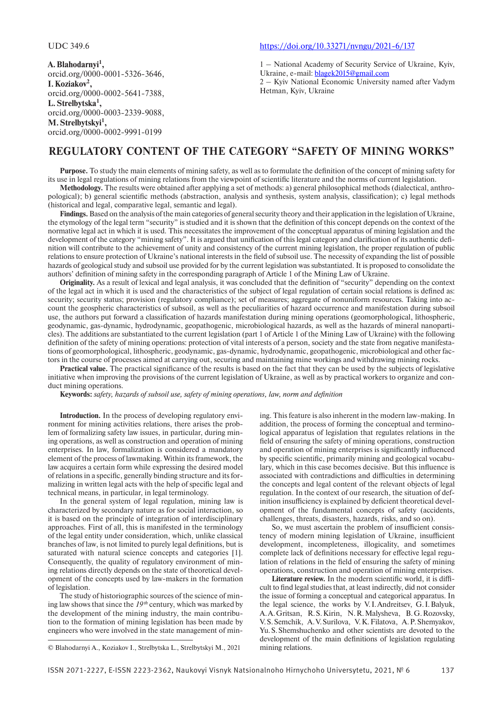**А. Blahodarnyi1 ,** orcid.org/0000-0001-5326-3646, **І. Koziakov2 ,** orcid.org/0000-0002-5641-7388, **L. Strelbytska1 ,** orcid.org/0000-0003-2339-9088, **М. Strelbytskyi1 ,** orcid.org/0000-0002-9991-0199

## UDC 349.6 https://doi.org/10.33271/nvngu/2021-6/137

1 – National Academy of Security Service of Ukraine, Kyiv, Ukraine, e-mail: blagek2015@gmail.com

2 – Kyiv National Economic University named after Vadym Hetman, Kyiv, Ukraine

## **REGULATORY CONTENT OF THE CATEGORY "SAFETY OF MINING WORKS"**

**Purpose.** To study the main elements of mining safety, as well as to formulate the definition of the concept of mining safety for its use in legal regulations of mining relations from the viewpoint of scientific literature and the norms of current legislation.

**Methodology.** The results were obtained after applying a set of methods: a) general philosophical methods (dialectical, anthropological); b) general scientific methods (abstraction, analysis and synthesis, system analysis, classification); c) legal methods (historical and legal, comparative legal, semantic and legal).

**Findings.** Based on the analysis of the main categories of general security theory and their application in the legislation of Ukraine, the etymology of the legal term "security" is studied and it is shown that the definition of this concept depends on the context of the normative legal act in which it is used. This necessitates the improvement of the conceptual apparatus of mining legislation and the development of the category "mining safety". It is argued that unification of this legal category and clarification of its authentic definition will contribute to the achievement of unity and consistency of the current mining legislation, the proper regulation of public relations to ensure protection of Ukraine's national interests in the field of subsoil use. The necessity of expanding the list of possible hazards of geological study and subsoil use provided for by the current legislation was substantiated. It is proposed to consolidate the authors' definition of mining safety in the corresponding paragraph of Article 1 of the Mining Law of Ukraine.

**Originality.** As a result of lexical and legal analysis, it was concluded that the definition of "security" depending on the context of the legal act in which it is used and the characteristics of the subject of legal regulation of certain social relations is defi ned as: security; security status; provision (regulatory compliance); set of measures; aggregate of nonuniform resources. Taking into account the geospheric characteristics of subsoil, as well as the peculiarities of hazard occurrence and manifestation during subsoil use, the authors put forward a classification of hazards manifestation during mining operations (geomorphological, lithospheric, geodynamic, gas-dynamic, hydrodynamic, geopathogenic, microbiological hazards, as well as the hazards of mineral nanoparticles). The additions are substantiated to the current legislation (part 1 of Article 1 of the Mining Law of Ukraine) with the following definition of the safety of mining operations: protection of vital interests of a person, society and the state from negative manifestations of geomorphological, lithospheric, geodynamic, gas-dynamic, hydrodynamic, geopathogenic, microbiological and other factors in the course of processes aimed at carrying out, securing and maintaining mine workings and withdrawing mining rocks.

**Practical value.** The practical significance of the results is based on the fact that they can be used by the subjects of legislative initiative when improving the provisions of the current legislation of Ukraine, as well as by practical workers to organize and conduct mining operations.

**Keywords:** *safety, hazards of subsoil use, safety of mining operations, law, norm and definition* 

**Introduction.** In the process of developing regulatory environment for mining activities relations, there arises the problem of formalizing safety law issues, in particular, during mining operations, as well as construction and operation of mining enterprises. In law, formalization is considered a mandatory element of the process of lawmaking. Within its framework, the law acquires a certain form while expressing the desired model of relations in a specific, generally binding structure and its formalizing in written legal acts with the help of specific legal and technical means, in particular, in legal terminology.

In the general system of legal regulation, mining law is characterized by secondary nature as for social interaction, so it is based on the principle of integration of interdisciplinary approaches. First of all, this is manifested in the terminology of the legal entity under consideration, which, unlike classical branches of law, is not limited to purely legal definitions, but is saturated with natural science concepts and categories [1]. Consequently, the quality of regulatory environment of mining relations directly depends on the state of theoretical development of the concepts used by law-makers in the formation of legislation.

The study of historiographic sources of the science of mining law shows that since the *19 th* century, which was marked by the development of the mining industry, the main contribution to the formation of mining legislation has been made by engineers who were involved in the state management of mining. This feature is also inherent in the modern law-making. In addition, the process of forming the conceptual and terminological apparatus of legislation that regulates relations in the field of ensuring the safety of mining operations, construction and operation of mining enterprises is significantly influenced by specific scientific, primarily mining and geological vocabulary, which in this case becomes decisive. But this influence is associated with contradictions and difficulties in determining the concepts and legal content of the relevant objects of legal regulation. In the context of our research, the situation of definition insufficiency is explained by deficient theoretical development of the fundamental concepts of safety (accidents, challenges, threats, disasters, hazards, risks, and so on).

So, we must ascertain the problem of insufficient consistency of modern mining legislation of Ukraine, insufficient development, incompleteness, illogicality, and sometimes complete lack of definitions necessary for effective legal regulation of relations in the field of ensuring the safety of mining operations, construction and operation of mining enterprises.

Literature review. In the modern scientific world, it is difficult to find legal studies that, at least indirectly, did not consider the issue of forming a conceptual and categorical apparatus. In the legal science, the works by V. I. Andreitsev, G. I. Balyuk, A. A. Gritsan, R. S. Kirin, N. R. Malysheva, B. G. Rozovsky, V. S. Semchik, A. V. Surilova, V. K. Filatova, A. P. Shemyakov, Yu. S. Shemshuchenko and other scientists are devoted to the development of the main definitions of legislation regulating mining relations.

<sup>©</sup> Blahodarnyi А., Koziakov І., Strelbytska L., Strelbytskyi М., 2021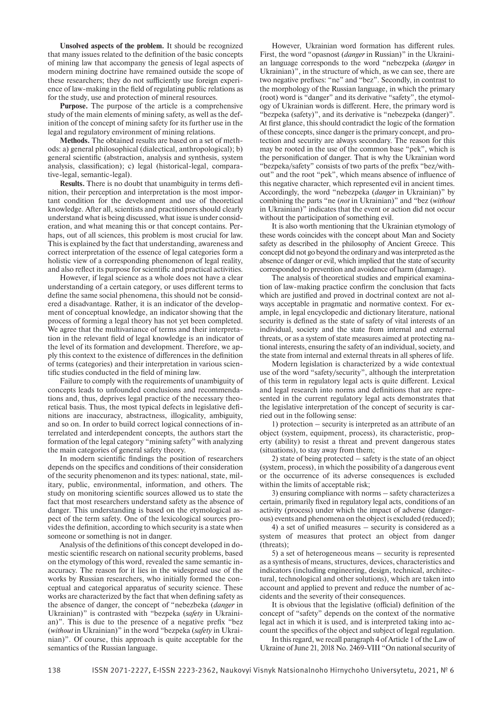**Unsolved aspects of the problem.** It should be recognized that many issues related to the definition of the basic concepts of mining law that accompany the genesis of legal aspects of modern mining doctrine have remained outside the scope of these researchers; they do not sufficiently use foreign experience of law-making in the field of regulating public relations as for the study, use and protection of mineral resources.

**Purpose.** The purpose of the article is a comprehensive study of the main elements of mining safety, as well as the definition of the concept of mining safety for its further use in the legal and regulatory environment of mining relations.

**Methods.** The obtained results are based on a set of methods: a) general philosophical (dialectical, anthropological); b) general scientific (abstraction, analysis and synthesis, system analysis, classification); c) legal (historical-legal, comparative-legal, semantic-legal).

**Results.** There is no doubt that unambiguity in terms definition, their perception and interpretation is the most important condition for the development and use of theoretical knowledge. After all, scientists and practitioners should clearly understand what is being discussed, what issue is under consideration, and what meaning this or that concept contains. Perhaps, out of all sciences, this problem is most crucial for law. This is explained by the fact that understanding, awareness and correct interpretation of the essence of legal categories form a holistic view of a corresponding phenomenon of legal reality, and also reflect its purpose for scientific and practical activities.

However, if legal science as a whole does not have a clear understanding of a certain category, or uses different terms to define the same social phenomena, this should not be considered a disadvantage. Rather, it is an indicator of the development of conceptual knowledge, an indicator showing that the process of forming a legal theory has not yet been completed. We agree that the multivariance of terms and their interpretation in the relevant field of legal knowledge is an indicator of the level of its formation and development. Therefore, we apply this context to the existence of differences in the definition of terms (categories) and their interpretation in various scientific studies conducted in the field of mining law.

Failure to comply with the requirements of unambiguity of concepts leads to unfounded conclusions and recommendations and, thus, deprives legal practice of the necessary theoretical basis. Thus, the most typical defects in legislative definitions are inaccuracy, abstractness, illogicality, ambiguity, and so on. In order to build correct logical connections of interrelated and interdependent concepts, the authors start the formation of the legal category "mining safety" with analyzing the main categories of general safety theory.

In modern scientific findings the position of researchers depends on the specifics and conditions of their consideration of the security phenomenon and its types: national, state, military, public, environmental, information, and others. The study on monitoring scientific sources allowed us to state the fact that most researchers understand safety as the absence of danger. This understanding is based on the etymological aspect of the term safety. One of the lexicological sources provides the definition, according to which security is a state when someone or something is not in danger.

Analysis of the definitions of this concept developed in domestic scientific research on national security problems, based on the etymology of this word, revealed the same semantic inaccuracy. The reason for it lies in the widespread use of the works by Russian researchers, who initially formed the conceptual and categorical apparatus of security science. These works are characterized by the fact that when defining safety as the absence of danger, the concept of "nebezbeka (*danger* in Ukrainian)" is contrasted with "bezpeka (*safety* in Ukrainian)". This is due to the presence of a negative prefix "bez (*without* in Ukrainian)" in the word "bezpeka (*safety* in Ukrainian)". Of course, this approach is quite acceptable for the semantics of the Russian language.

However, Ukrainian word formation has different rules. First, the word "opasnost (*danger* in Russian)" in the Ukrainian language corresponds to the word "nebezpeka (*danger* in Ukrainian)", in the structure of which, as we can see, there are two negative prefixes: "ne" and "bez". Secondly, in contrast to the morphology of the Russian language, in which the primary (root) word is "danger" and its derivative "safety", the etymology of Ukrainian words is different. Here, the primary word is "bezpeka (safety)", and its derivative is "nebezpeka (danger)". At first glance, this should contradict the logic of the formation of these concepts, since danger is the primary concept, and protection and security are always secondary. The reason for this may be rooted in the use of the common base "pek", which is the personification of danger. That is why the Ukrainian word "bezpeka/safety" consists of two parts of the prefix "bez/without" and the root "pek", which means absence of influence of this negative character, which represented evil in ancient times. Accordingly, the word "nebezpeka (*danger* in Ukrainian)" by combining the parts "ne (*not* in Ukrainian)" and "bez (*without* in Ukrainian)" indicates that the event or action did not occur without the participation of something evil.

It is also worth mentioning that the Ukrainian etymology of these words coincides with the concept about Man and Society safety as described in the philosophy of Ancient Greece. This concept did not go beyond the ordinary and was interpreted as the absence of danger or evil, which implied that the state of security corresponded to prevention and avoidance of harm (damage).

The analysis of theoretical studies and empirical examination of law-making practice confirm the conclusion that facts which are justified and proved in doctrinal context are not always acceptable in pragmatic and normative context. For example, in legal encyclopedic and dictionary literature, national security is defined as the state of safety of vital interests of an individual, society and the state from internal and external threats, or as a system of state measures aimed at protecting national interests, ensuring the safety of an individual, society, and the state from internal and external threats in all spheres of life.

Modern legislation is characterized by a wide contextual use of the word "safety/security", although the interpretation of this term in regulatory legal acts is quite different. Lexical and legal research into norms and definitions that are represented in the current regulatory legal acts demonstrates that the legislative interpretation of the concept of security is carried out in the following sense:

1) protection – security is interpreted as an attribute of an object (system, equipment, process), its characteristic, property (ability) to resist a threat and prevent dangerous states (situations), to stay away from them;

2) state of being protected – safety is the state of an object (system, process), in which the possibility of a dangerous event or the occurrence of its adverse consequences is excluded within the limits of acceptable risk;

3) ensuring compliance with norms – safety characterizes a certain, primarily fixed in regulatory legal acts, conditions of an activity (process) under which the impact of adverse (dangerous) events and phenomena on the object is excluded (reduced);

4) a set of unified measures  $-$  security is considered as a system of measures that protect an object from danger (threats);

5) a set of heterogeneous means – security is represented as a synthesis of means, structures, devices, characteristics and indicators (including engineering, design, technical, architectural, technological and other solutions), which are taken into account and applied to prevent and reduce the number of accidents and the severity of their consequences.

It is obvious that the legislative (official) definition of the concept of "safety" depends on the context of the normative legal act in which it is used, and is interpreted taking into account the specifics of the object and subject of legal regulation.

In this regard, we recall paragraph 4 of Article 1 of the Law of Ukraine of June 21, 2018 No. 2469-VIII "On national security of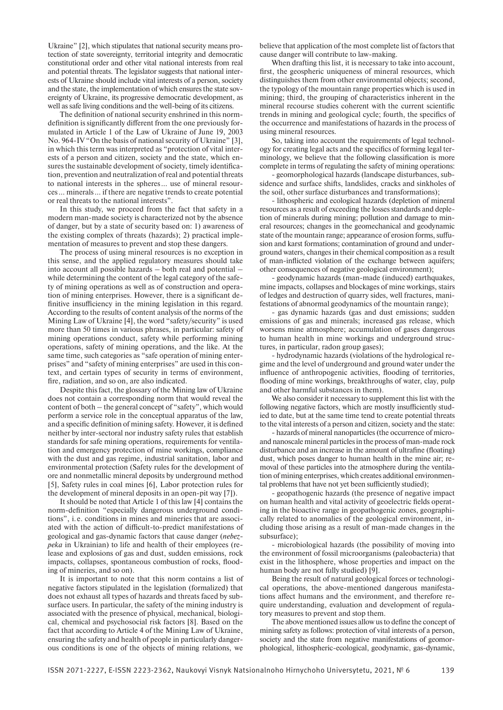Ukraine" [2], which stipulates that national security means protection of state sovereignty, territorial integrity and democratic constitutional order and other vital national interests from real and potential threats. The legislator suggests that national interests of Ukraine should include vital interests of a person, society and the state, the implementation of which ensures the state sovereignty of Ukraine, its progressive democratic development, as well as safe living conditions and the well-being of its citizens.

The definition of national security enshrined in this normdefinition is significantly different from the one previously formulated in Article 1 of the Law of Ukraine of June 19, 2003 No. 964-IV "On the basis of national security of Ukraine" [3], in which this term was interpreted as "protection of vital interests of a person and citizen, society and the state, which ensures the sustainable development of society, timely identification, prevention and neutralization of real and potential threats to national interests in the spheres … use of mineral resources … minerals … if there are negative trends to create potential or real threats to the national interests".

In this study, we proceed from the fact that safety in a modern man-made society is characterized not by the absence of danger, but by a state of security based on: 1) awareness of the existing complex of threats (hazards); 2) practical implementation of measures to prevent and stop these dangers.

The process of using mineral resources is no exception in this sense, and the applied regulatory measures should take into account all possible hazards – both real and potential – while determining the content of the legal category of the safety of mining operations as well as of construction and operation of mining enterprises. However, there is a significant definitive insufficiency in the mining legislation in this regard. According to the results of content analysis of the norms of the Mining Law of Ukraine [4], the word "safety/security" is used more than 50 times in various phrases, in particular: safety of mining operations conduct, safety while performing mining operations, safety of mining operations, and the like. At the same time, such categories as "safe operation of mining enterprises" and "safety of mining enterprises" are used in this context, and certain types of security in terms of environment, fire, radiation, and so on, are also indicated.

Despite this fact, the glossary of the Mining law of Ukraine does not contain a corresponding norm that would reveal the content of both – the general concept of "safety", which would perform a service role in the conceptual apparatus of the law, and a specific definition of mining safety. However, it is defined neither by inter-sectoral nor industry safety rules that establish standards for safe mining operations, requirements for ventilation and emergency protection of mine workings, compliance with the dust and gas regime, industrial sanitation, labor and environmental protection (Safety rules for the development of ore and nonmetallic mineral deposits by underground method [5], Safety rules in coal mines [6], Labor protection rules for the development of mineral deposits in an open-pit way [7]).

It should be noted that Article 1 of this law [4] contains the norm-definition "especially dangerous underground conditions", i. e. conditions in mines and mineries that are associated with the action of difficult-to-predict manifestations of geological and gas-dynamic factors that cause danger (*ne bezpeka* in Ukrainian) to life and health of their employees (release and explosions of gas and dust, sudden emissions, rock impacts, collapses, spontaneous combustion of rocks, flooding of mineries, and so on).

It is important to note that this norm contains a list of negative factors stipulated in the legislation (formalized) that does not exhaust all types of hazards and threats faced by subsurface users. In particular, the safety of the mining industry is associated with the presence of physical, mechanical, biological, chemical and psychosocial risk factors [8]. Based on the fact that according to Article 4 of the Mining Law of Ukraine, ensuring the safety and health of people in particularly dangerous conditions is one of the objects of mining relations, we

believe that application of the most complete list of factors that cause danger will contribute to law-making.

When drafting this list, it is necessary to take into account, first, the geospheric uniqueness of mineral resources, which distinguishes them from other environmental objects; second, the typology of the mountain range properties which is used in mining; third, the grouping of characteristics inherent in the mineral recourse studies coherent with the current scientific trends in mining and geological cycle; fourth, the specifics of the occurrence and manifestations of hazards in the process of using mineral resources.

So, taking into account the requirements of legal technology for creating legal acts and the specifics of forming legal terminology, we believe that the following classification is more complete in terms of regulating the safety of mining operations:

- geomorphological hazards (landscape disturbances, subsidence and surface shifts, landslides, cracks and sinkholes of the soil, other surface disturbances and transformations);

- lithospheric and ecological hazards (depletion of mineral resources as a result of exceeding the losses standards and depletion of minerals during mining; pollution and damage to mineral resources; changes in the geomechanical and geodynamic state of the mountain range; appearance of erosion forms, suffusion and karst formations; contamination of ground and underground waters, changes in their chemical composition as a result of man-inflicted violation of the exchange between aquifers; other consequences of negative geological environment);

- geodynamic hazards (man-made (induced) earthquakes, mine impacts, collapses and blockages of mine workings, stairs of ledges and destruction of quarry sides, well fractures, manifestations of abnormal geodynamics of the mountain range);

- gas dynamic hazards (gas and dust emissions; sudden emissions of gas and minerals; increased gas release, which worsens mine atmosphere; accumulation of gases dangerous to human health in mine workings and underground structures, in particular, radon group gases);

- hydrodynamic hazards (violations of the hydrological regime and the level of underground and ground water under the influence of anthropogenic activities, flooding of territories, flooding of mine workings, breakthroughs of water, clay, pulp and other harmful substances in them).

We also consider it necessary to supplement this list with the following negative factors, which are mostly insufficiently studied to date, but at the same time tend to create potential threats to the vital interests of a person and citizen, society and the state:

- hazards of mineral nanoparticles (the occurrence of microand nanoscale mineral particles in the process of man-made rock disturbance and an increase in the amount of ultrafine (floating) dust, which poses danger to human health in the mine air; removal of these particles into the atmosphere during the ventilation of mining enterprises, which creates additional environmental problems that have not yet been sufficiently studied);

- geopathogenic hazards (the presence of negative impact on human health and vital activity of geoelectric fields operating in the bioactive range in geopathogenic zones, geographically related to anomalies of the geological environment, including those arising as a result of man-made changes in the subsurface);

- microbiological hazards (the possibility of moving into the environment of fossil microorganisms (paleobacteria) that exist in the lithosphere, whose properties and impact on the human body are not fully studied) [9].

Being the result of natural geological forces or technological operations, the above-mentioned dangerous manifestations affect humans and the environment, and therefore require understanding, evaluation and development of regulatory measures to prevent and stop them.

The above mentioned issues allow us to define the concept of mining safety as follows: protection of vital interests of a person, society and the state from negative manifestations of geomorphological, lithospheric-ecological, geodynamic, gas-dynamic,